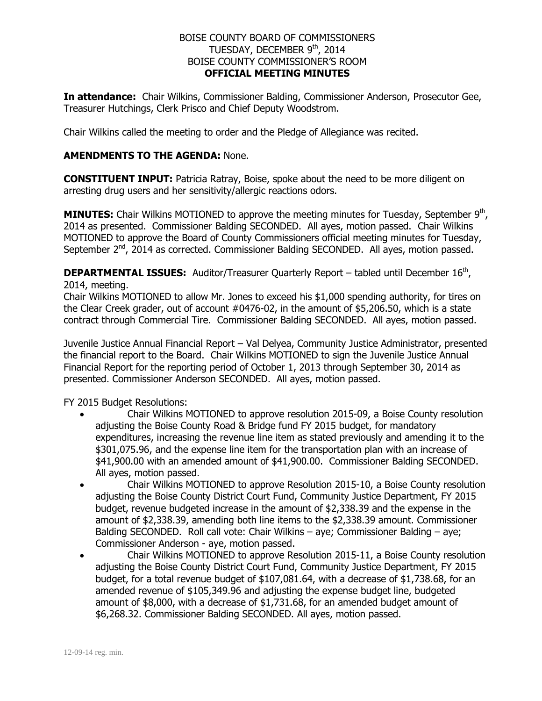## BOISE COUNTY BOARD OF COMMISSIONERS TUESDAY, DECEMBER 9<sup>th</sup>, 2014 BOISE COUNTY COMMISSIONER'S ROOM **OFFICIAL MEETING MINUTES**

**In attendance:** Chair Wilkins, Commissioner Balding, Commissioner Anderson, Prosecutor Gee, Treasurer Hutchings, Clerk Prisco and Chief Deputy Woodstrom.

Chair Wilkins called the meeting to order and the Pledge of Allegiance was recited.

## **AMENDMENTS TO THE AGENDA:** None.

**CONSTITUENT INPUT:** Patricia Ratray, Boise, spoke about the need to be more diligent on arresting drug users and her sensitivity/allergic reactions odors.

**MINUTES:** Chair Wilkins MOTIONED to approve the meeting minutes for Tuesday, September 9<sup>th</sup>, 2014 as presented. Commissioner Balding SECONDED. All ayes, motion passed. Chair Wilkins MOTIONED to approve the Board of County Commissioners official meeting minutes for Tuesday, September 2<sup>nd</sup>, 2014 as corrected. Commissioner Balding SECONDED. All ayes, motion passed.

**DEPARTMENTAL ISSUES:** Auditor/Treasurer Quarterly Report – tabled until December 16<sup>th</sup>, 2014, meeting.

Chair Wilkins MOTIONED to allow Mr. Jones to exceed his \$1,000 spending authority, for tires on the Clear Creek grader, out of account #0476-02, in the amount of \$5,206,50, which is a state contract through Commercial Tire. Commissioner Balding SECONDED. All ayes, motion passed.

Juvenile Justice Annual Financial Report – Val Delyea, Community Justice Administrator, presented the financial report to the Board. Chair Wilkins MOTIONED to sign the Juvenile Justice Annual Financial Report for the reporting period of October 1, 2013 through September 30, 2014 as presented. Commissioner Anderson SECONDED. All ayes, motion passed.

FY 2015 Budget Resolutions:

- Chair Wilkins MOTIONED to approve resolution 2015-09, a Boise County resolution adjusting the Boise County Road & Bridge fund FY 2015 budget, for mandatory expenditures, increasing the revenue line item as stated previously and amending it to the \$301,075.96, and the expense line item for the transportation plan with an increase of \$41,900.00 with an amended amount of \$41,900.00. Commissioner Balding SECONDED. All ayes, motion passed.
- Chair Wilkins MOTIONED to approve Resolution 2015-10, a Boise County resolution adjusting the Boise County District Court Fund, Community Justice Department, FY 2015 budget, revenue budgeted increase in the amount of \$2,338.39 and the expense in the amount of \$2,338.39, amending both line items to the \$2,338.39 amount. Commissioner Balding SECONDED. Roll call vote: Chair Wilkins – aye; Commissioner Balding – aye; Commissioner Anderson - aye, motion passed.
- Chair Wilkins MOTIONED to approve Resolution 2015-11, a Boise County resolution adjusting the Boise County District Court Fund, Community Justice Department, FY 2015 budget, for a total revenue budget of \$107,081.64, with a decrease of \$1,738.68, for an amended revenue of \$105,349.96 and adjusting the expense budget line, budgeted amount of \$8,000, with a decrease of \$1,731.68, for an amended budget amount of \$6,268.32. Commissioner Balding SECONDED. All ayes, motion passed.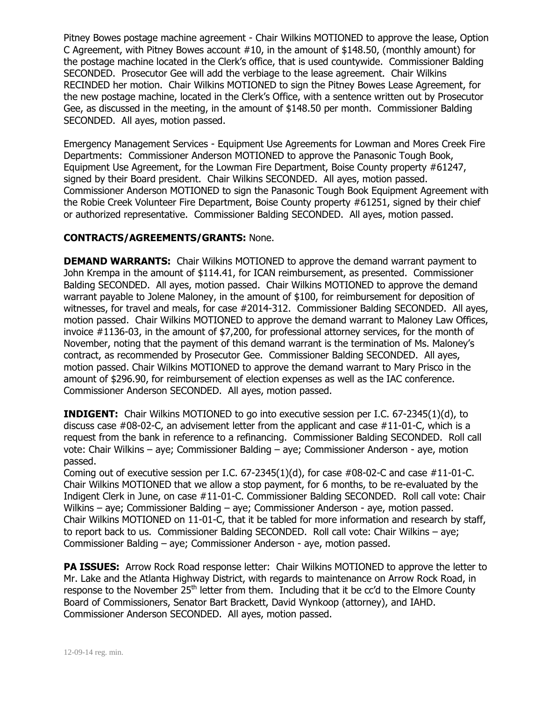Pitney Bowes postage machine agreement - Chair Wilkins MOTIONED to approve the lease, Option C Agreement, with Pitney Bowes account #10, in the amount of \$148.50, (monthly amount) for the postage machine located in the Clerk's office, that is used countywide. Commissioner Balding SECONDED. Prosecutor Gee will add the verbiage to the lease agreement. Chair Wilkins RECINDED her motion. Chair Wilkins MOTIONED to sign the Pitney Bowes Lease Agreement, for the new postage machine, located in the Clerk's Office, with a sentence written out by Prosecutor Gee, as discussed in the meeting, in the amount of \$148.50 per month. Commissioner Balding SECONDED. All ayes, motion passed.

Emergency Management Services - Equipment Use Agreements for Lowman and Mores Creek Fire Departments: Commissioner Anderson MOTIONED to approve the Panasonic Tough Book, Equipment Use Agreement, for the Lowman Fire Department, Boise County property #61247, signed by their Board president. Chair Wilkins SECONDED. All ayes, motion passed. Commissioner Anderson MOTIONED to sign the Panasonic Tough Book Equipment Agreement with the Robie Creek Volunteer Fire Department, Boise County property #61251, signed by their chief or authorized representative. Commissioner Balding SECONDED. All ayes, motion passed.

## **CONTRACTS/AGREEMENTS/GRANTS:** None.

**DEMAND WARRANTS:** Chair Wilkins MOTIONED to approve the demand warrant payment to John Krempa in the amount of \$114.41, for ICAN reimbursement, as presented. Commissioner Balding SECONDED. All ayes, motion passed. Chair Wilkins MOTIONED to approve the demand warrant payable to Jolene Maloney, in the amount of \$100, for reimbursement for deposition of witnesses, for travel and meals, for case #2014-312. Commissioner Balding SECONDED. All ayes, motion passed. Chair Wilkins MOTIONED to approve the demand warrant to Maloney Law Offices, invoice #1136-03, in the amount of \$7,200, for professional attorney services, for the month of November, noting that the payment of this demand warrant is the termination of Ms. Maloney's contract, as recommended by Prosecutor Gee. Commissioner Balding SECONDED. All ayes, motion passed. Chair Wilkins MOTIONED to approve the demand warrant to Mary Prisco in the amount of \$296.90, for reimbursement of election expenses as well as the IAC conference. Commissioner Anderson SECONDED. All ayes, motion passed.

**INDIGENT:** Chair Wilkins MOTIONED to go into executive session per I.C. 67-2345(1)(d), to discuss case #08-02-C, an advisement letter from the applicant and case #11-01-C, which is a request from the bank in reference to a refinancing. Commissioner Balding SECONDED. Roll call vote: Chair Wilkins – aye; Commissioner Balding – aye; Commissioner Anderson - aye, motion passed.

Coming out of executive session per I.C.  $67-2345(1)(d)$ , for case  $\#08-02$ -C and case  $\#11-01$ -C. Chair Wilkins MOTIONED that we allow a stop payment, for 6 months, to be re-evaluated by the Indigent Clerk in June, on case #11-01-C. Commissioner Balding SECONDED. Roll call vote: Chair Wilkins – aye; Commissioner Balding – aye; Commissioner Anderson - aye, motion passed. Chair Wilkins MOTIONED on 11-01-C, that it be tabled for more information and research by staff, to report back to us. Commissioner Balding SECONDED. Roll call vote: Chair Wilkins – aye; Commissioner Balding – aye; Commissioner Anderson - aye, motion passed.

**PA ISSUES:** Arrow Rock Road response letter: Chair Wilkins MOTIONED to approve the letter to Mr. Lake and the Atlanta Highway District, with regards to maintenance on Arrow Rock Road, in response to the November 25<sup>th</sup> letter from them. Including that it be cc'd to the Elmore County Board of Commissioners, Senator Bart Brackett, David Wynkoop (attorney), and IAHD. Commissioner Anderson SECONDED. All ayes, motion passed.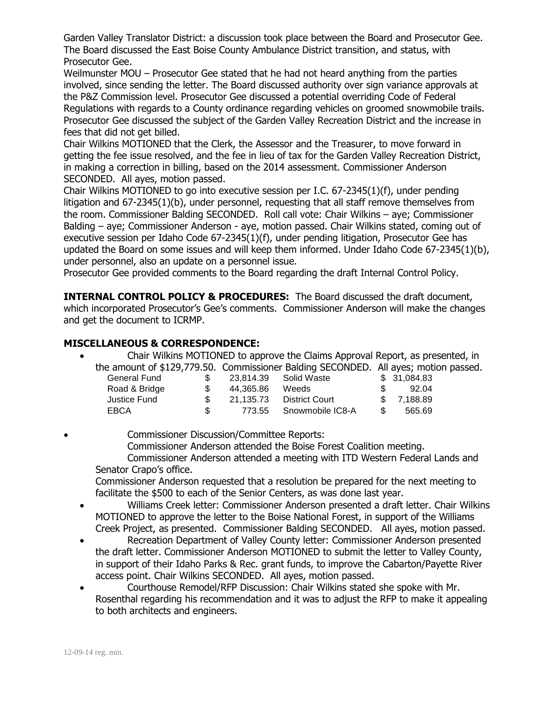Garden Valley Translator District: a discussion took place between the Board and Prosecutor Gee. The Board discussed the East Boise County Ambulance District transition, and status, with Prosecutor Gee.

Weilmunster MOU – Prosecutor Gee stated that he had not heard anything from the parties involved, since sending the letter. The Board discussed authority over sign variance approvals at the P&Z Commission level. Prosecutor Gee discussed a potential overriding Code of Federal Regulations with regards to a County ordinance regarding vehicles on groomed snowmobile trails. Prosecutor Gee discussed the subject of the Garden Valley Recreation District and the increase in fees that did not get billed.

Chair Wilkins MOTIONED that the Clerk, the Assessor and the Treasurer, to move forward in getting the fee issue resolved, and the fee in lieu of tax for the Garden Valley Recreation District, in making a correction in billing, based on the 2014 assessment. Commissioner Anderson SECONDED. All ayes, motion passed.

Chair Wilkins MOTIONED to go into executive session per I.C. 67-2345(1)(f), under pending litigation and 67-2345(1)(b), under personnel, requesting that all staff remove themselves from the room. Commissioner Balding SECONDED. Roll call vote: Chair Wilkins – aye; Commissioner Balding – aye; Commissioner Anderson - aye, motion passed. Chair Wilkins stated, coming out of executive session per Idaho Code 67-2345(1)(f), under pending litigation, Prosecutor Gee has updated the Board on some issues and will keep them informed. Under Idaho Code 67-2345(1)(b), under personnel, also an update on a personnel issue.

Prosecutor Gee provided comments to the Board regarding the draft Internal Control Policy.

**INTERNAL CONTROL POLICY & PROCEDURES:** The Board discussed the draft document, which incorporated Prosecutor's Gee's comments. Commissioner Anderson will make the changes and get the document to ICRMP.

## **MISCELLANEOUS & CORRESPONDENCE:**

 Chair Wilkins MOTIONED to approve the Claims Approval Report, as presented, in the amount of \$129,779.50. Commissioner Balding SECONDED. All ayes; motion passed.

| General Fund  | S. |           | 23.814.39 Solid Waste   |              | \$ 31.084.83 |
|---------------|----|-----------|-------------------------|--------------|--------------|
| Road & Bridge | S. | 44.365.86 | Weeds                   | $\mathbb{S}$ | 92.04        |
| Justice Fund  |    | 21.135.73 | District Court          |              | \$ 7.188.89  |
| EBCA          | S. |           | 773.55 Snowmobile IC8-A | S.           | 565.69       |

 Commissioner Discussion/Committee Reports: Commissioner Anderson attended the Boise Forest Coalition meeting. Commissioner Anderson attended a meeting with ITD Western Federal Lands and Senator Crapo's office. Commissioner Anderson requested that a resolution be prepared for the next meeting to

facilitate the \$500 to each of the Senior Centers, as was done last year. Williams Creek letter: Commissioner Anderson presented a draft letter. Chair Wilkins MOTIONED to approve the letter to the Boise National Forest, in support of the Williams

- Creek Project, as presented. Commissioner Balding SECONDED. All ayes, motion passed. Recreation Department of Valley County letter: Commissioner Anderson presented the draft letter. Commissioner Anderson MOTIONED to submit the letter to Valley County, in support of their Idaho Parks & Rec. grant funds, to improve the Cabarton/Payette River
- access point. Chair Wilkins SECONDED. All ayes, motion passed. Courthouse Remodel/RFP Discussion: Chair Wilkins stated she spoke with Mr. Rosenthal regarding his recommendation and it was to adjust the RFP to make it appealing to both architects and engineers.